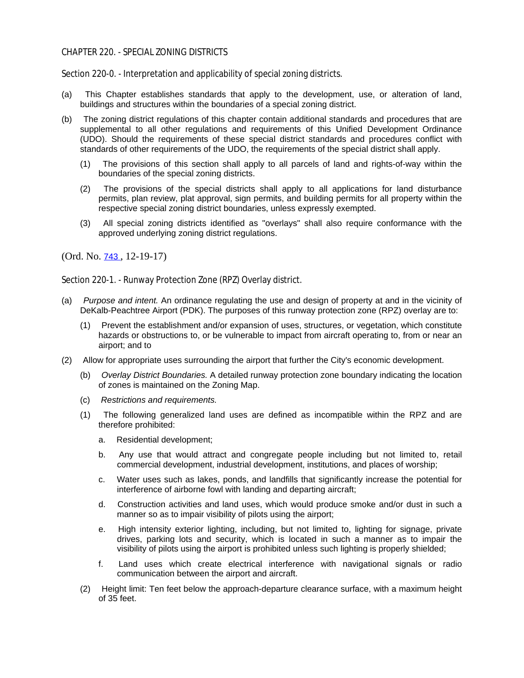## CHAPTER 220. - SPECIAL ZONING DISTRICTS

Section 220-0. - Interpretation and applicability of special zoning districts.

- (a) This Chapter establishes standards that apply to the development, use, or alteration of land, buildings and structures within the boundaries of a special zoning district.
- (b) The zoning district regulations of this chapter contain additional standards and procedures that are supplemental to all other regulations and requirements of this Unified Development Ordinance (UDO). Should the requirements of these special district standards and procedures conflict with standards of other requirements of the UDO, the requirements of the special district shall apply.
	- (1) The provisions of this section shall apply to all parcels of land and rights-of-way within the boundaries of the special zoning districts.
	- (2) The provisions of the special districts shall apply to all applications for land disturbance permits, plan review, plat approval, sign permits, and building permits for all property within the respective special zoning district boundaries, unless expressly exempted.
	- (3) All special zoning districts identified as "overlays" shall also require conformance with the approved underlying zoning district regulations.

(Ord. No. [743](http://newords.municode.com/readordinance.aspx?ordinanceid=872522&datasource=ordbank) , 12-19-17)

Section 220-1. - Runway Protection Zone (RPZ) Overlay district.

- (a) *Purpose and intent.* An ordinance regulating the use and design of property at and in the vicinity of DeKalb-Peachtree Airport (PDK). The purposes of this runway protection zone (RPZ) overlay are to:
	- (1) Prevent the establishment and/or expansion of uses, structures, or vegetation, which constitute hazards or obstructions to, or be vulnerable to impact from aircraft operating to, from or near an airport; and to
- (2) Allow for appropriate uses surrounding the airport that further the City's economic development.
	- (b) *Overlay District Boundaries.* A detailed runway protection zone boundary indicating the location of zones is maintained on the Zoning Map.
	- (c) *Restrictions and requirements.*
	- (1) The following generalized land uses are defined as incompatible within the RPZ and are therefore prohibited:
		- a. Residential development;
		- b. Any use that would attract and congregate people including but not limited to, retail commercial development, industrial development, institutions, and places of worship;
		- c. Water uses such as lakes, ponds, and landfills that significantly increase the potential for interference of airborne fowl with landing and departing aircraft;
		- d. Construction activities and land uses, which would produce smoke and/or dust in such a manner so as to impair visibility of pilots using the airport;
		- e. High intensity exterior lighting, including, but not limited to, lighting for signage, private drives, parking lots and security, which is located in such a manner as to impair the visibility of pilots using the airport is prohibited unless such lighting is properly shielded;
		- f. Land uses which create electrical interference with navigational signals or radio communication between the airport and aircraft.
	- (2) Height limit: Ten feet below the approach-departure clearance surface, with a maximum height of 35 feet.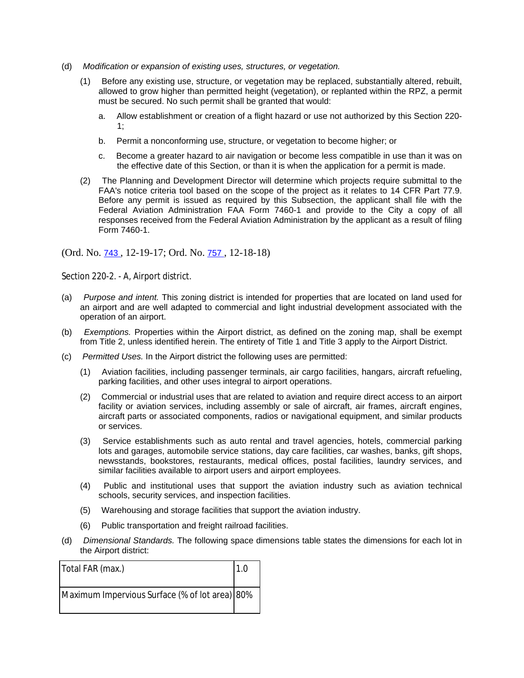- (d) *Modification or expansion of existing uses, structures, or vegetation.*
	- (1) Before any existing use, structure, or vegetation may be replaced, substantially altered, rebuilt, allowed to grow higher than permitted height (vegetation), or replanted within the RPZ, a permit must be secured. No such permit shall be granted that would:
		- a. Allow establishment or creation of a flight hazard or use not authorized by this Section 220- 1;
		- b. Permit a nonconforming use, structure, or vegetation to become higher; or
		- c. Become a greater hazard to air navigation or become less compatible in use than it was on the effective date of this Section, or than it is when the application for a permit is made.
	- (2) The Planning and Development Director will determine which projects require submittal to the FAA's notice criteria tool based on the scope of the project as it relates to 14 CFR Part 77.9. Before any permit is issued as required by this Subsection, the applicant shall file with the Federal Aviation Administration FAA Form 7460-1 and provide to the City a copy of all responses received from the Federal Aviation Administration by the applicant as a result of filing Form 7460-1.

(Ord. No. [743](http://newords.municode.com/readordinance.aspx?ordinanceid=872522&datasource=ordbank) , 12-19-17; Ord. No. [757](http://newords.municode.com/readordinance.aspx?ordinanceid=954627&datasource=ordbank) , 12-18-18)

Section 220-2. - A, Airport district.

- (a) *Purpose and intent.* This zoning district is intended for properties that are located on land used for an airport and are well adapted to commercial and light industrial development associated with the operation of an airport.
- (b) *Exemptions.* Properties within the Airport district, as defined on the zoning map, shall be exempt from Title 2, unless identified herein. The entirety of Title 1 and Title 3 apply to the Airport District.
- (c) *Permitted Uses.* In the Airport district the following uses are permitted:
	- (1) Aviation facilities, including passenger terminals, air cargo facilities, hangars, aircraft refueling, parking facilities, and other uses integral to airport operations.
	- (2) Commercial or industrial uses that are related to aviation and require direct access to an airport facility or aviation services, including assembly or sale of aircraft, air frames, aircraft engines, aircraft parts or associated components, radios or navigational equipment, and similar products or services.
	- (3) Service establishments such as auto rental and travel agencies, hotels, commercial parking lots and garages, automobile service stations, day care facilities, car washes, banks, gift shops, newsstands, bookstores, restaurants, medical offices, postal facilities, laundry services, and similar facilities available to airport users and airport employees.
	- (4) Public and institutional uses that support the aviation industry such as aviation technical schools, security services, and inspection facilities.
	- (5) Warehousing and storage facilities that support the aviation industry.
	- (6) Public transportation and freight railroad facilities.
- (d) *Dimensional Standards.* The following space dimensions table states the dimensions for each lot in the Airport district:

| Total FAR (max.)                               | 1.0 |
|------------------------------------------------|-----|
| Maximum Impervious Surface (% of lot area) 80% |     |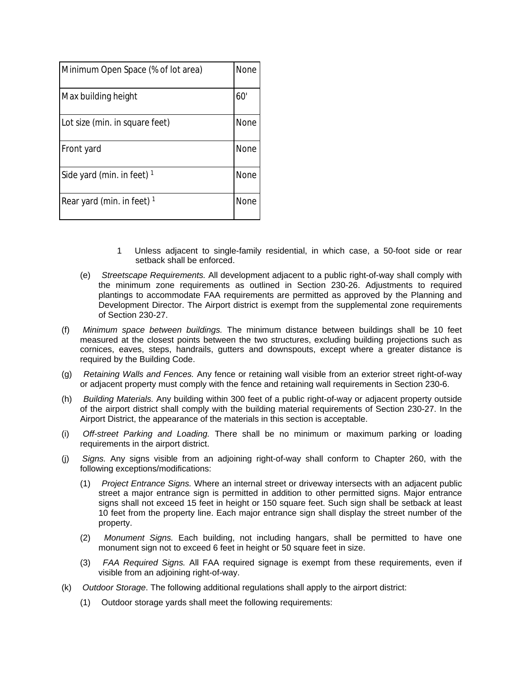| Minimum Open Space (% of lot area) | None |
|------------------------------------|------|
| Max building height                | 60'  |
| Lot size (min. in square feet)     | None |
| Front yard                         | None |
| Side yard (min. in feet) $1$       | None |
| Rear yard (min. in feet) $1$       | None |

- 1 Unless adjacent to single-family residential, in which case, a 50-foot side or rear setback shall be enforced.
- (e) *Streetscape Requirements.* All development adjacent to a public right-of-way shall comply with the minimum zone requirements as outlined in Section 230-26. Adjustments to required plantings to accommodate FAA requirements are permitted as approved by the Planning and Development Director. The Airport district is exempt from the supplemental zone requirements of Section 230-27.
- (f) *Minimum space between buildings.* The minimum distance between buildings shall be 10 feet measured at the closest points between the two structures, excluding building projections such as cornices, eaves, steps, handrails, gutters and downspouts, except where a greater distance is required by the Building Code.
- (g) *Retaining Walls and Fences.* Any fence or retaining wall visible from an exterior street right-of-way or adjacent property must comply with the fence and retaining wall requirements in Section 230-6.
- (h) *Building Materials.* Any building within 300 feet of a public right-of-way or adjacent property outside of the airport district shall comply with the building material requirements of Section 230-27. In the Airport District, the appearance of the materials in this section is acceptable.
- (i) *Off-street Parking and Loading.* There shall be no minimum or maximum parking or loading requirements in the airport district.
- (j) *Signs.* Any signs visible from an adjoining right-of-way shall conform to Chapter 260, with the following exceptions/modifications:
	- (1) *Project Entrance Signs.* Where an internal street or driveway intersects with an adjacent public street a major entrance sign is permitted in addition to other permitted signs. Major entrance signs shall not exceed 15 feet in height or 150 square feet. Such sign shall be setback at least 10 feet from the property line. Each major entrance sign shall display the street number of the property.
	- (2) *Monument Signs.* Each building, not including hangars, shall be permitted to have one monument sign not to exceed 6 feet in height or 50 square feet in size.
	- (3) *FAA Required Signs.* All FAA required signage is exempt from these requirements, even if visible from an adjoining right-of-way.
- (k) *Outdoor Storage*. The following additional regulations shall apply to the airport district:
	- (1) Outdoor storage yards shall meet the following requirements: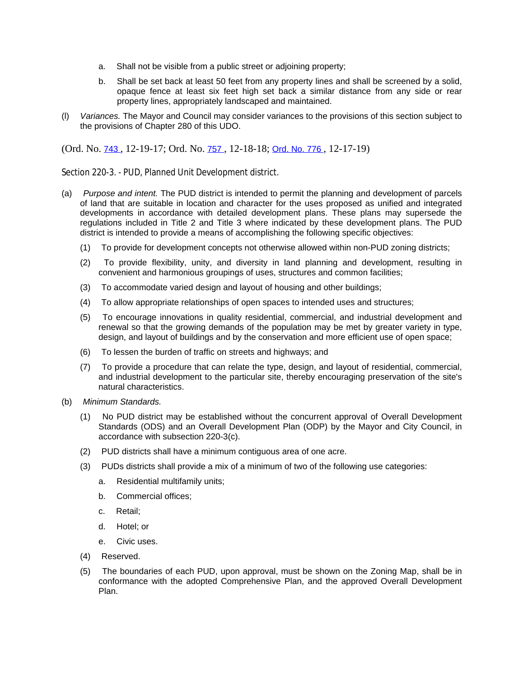- a. Shall not be visible from a public street or adjoining property;
- b. Shall be set back at least 50 feet from any property lines and shall be screened by a solid, opaque fence at least six feet high set back a similar distance from any side or rear property lines, appropriately landscaped and maintained.
- (l) *Variances.* The Mayor and Council may consider variances to the provisions of this section subject to the provisions of Chapter 280 of this UDO.

(Ord. No. [743](http://newords.municode.com/readordinance.aspx?ordinanceid=872522&datasource=ordbank) , 12-19-17; Ord. No. [757](http://newords.municode.com/readordinance.aspx?ordinanceid=954627&datasource=ordbank) , 12-18-18; [Ord. No. 776](http://newords.municode.com/readordinance.aspx?ordinanceid=994804&datasource=ordbank) , 12-17-19)

Section 220-3. - PUD, Planned Unit Development district.

- (a) *Purpose and intent.* The PUD district is intended to permit the planning and development of parcels of land that are suitable in location and character for the uses proposed as unified and integrated developments in accordance with detailed development plans. These plans may supersede the regulations included in Title 2 and Title 3 where indicated by these development plans. The PUD district is intended to provide a means of accomplishing the following specific objectives:
	- (1) To provide for development concepts not otherwise allowed within non-PUD zoning districts;
	- (2) To provide flexibility, unity, and diversity in land planning and development, resulting in convenient and harmonious groupings of uses, structures and common facilities;
	- (3) To accommodate varied design and layout of housing and other buildings;
	- (4) To allow appropriate relationships of open spaces to intended uses and structures;
	- (5) To encourage innovations in quality residential, commercial, and industrial development and renewal so that the growing demands of the population may be met by greater variety in type, design, and layout of buildings and by the conservation and more efficient use of open space;
	- (6) To lessen the burden of traffic on streets and highways; and
	- (7) To provide a procedure that can relate the type, design, and layout of residential, commercial, and industrial development to the particular site, thereby encouraging preservation of the site's natural characteristics.
- (b) *Minimum Standards.*
	- (1) No PUD district may be established without the concurrent approval of Overall Development Standards (ODS) and an Overall Development Plan (ODP) by the Mayor and City Council, in accordance with subsection 220-3(c).
	- (2) PUD districts shall have a minimum contiguous area of one acre.
	- (3) PUDs districts shall provide a mix of a minimum of two of the following use categories:
		- a. Residential multifamily units;
		- b. Commercial offices;
		- c. Retail;
		- d. Hotel; or
		- e. Civic uses.
	- (4) Reserved.
	- (5) The boundaries of each PUD, upon approval, must be shown on the Zoning Map, shall be in conformance with the adopted Comprehensive Plan, and the approved Overall Development Plan.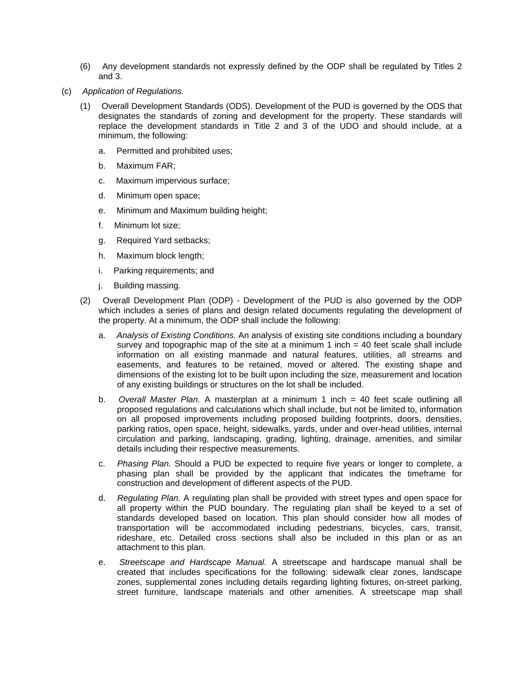- (6) Any development standards not expressly defined by the ODP shall be regulated by Titles 2 and 3.
- (c) *Application of Regulations.*
	- (1) Overall Development Standards (ODS). Development of the PUD is governed by the ODS that designates the standards of zoning and development for the property. These standards will replace the development standards in Title 2 and 3 of the UDO and should include, at a minimum, the following:
		- a. Permitted and prohibited uses;
		- b. Maximum FAR;
		- c. Maximum impervious surface;
		- d. Minimum open space;
		- e. Minimum and Maximum building height;
		- f. Minimum lot size;
		- g. Required Yard setbacks;
		- h. Maximum block length;
		- i. Parking requirements; and
		- j. Building massing.
	- (2) Overall Development Plan (ODP) Development of the PUD is also governed by the ODP which includes a series of plans and design related documents regulating the development of the property. At a minimum, the ODP shall include the following:
		- a. *Analysis of Existing Conditions.* An analysis of existing site conditions including a boundary survey and topographic map of the site at a minimum  $1$  inch  $=$  40 feet scale shall include information on all existing manmade and natural features, utilities, all streams and easements, and features to be retained, moved or altered. The existing shape and dimensions of the existing lot to be built upon including the size, measurement and location of any existing buildings or structures on the lot shall be included.
		- b. *Overall Master Plan.* A masterplan at a minimum 1 inch = 40 feet scale outlining all proposed regulations and calculations which shall include, but not be limited to, information on all proposed improvements including proposed building footprints, doors, densities, parking ratios, open space, height, sidewalks, yards, under and over-head utilities, internal circulation and parking, landscaping, grading, lighting, drainage, amenities, and similar details including their respective measurements.
		- c. *Phasing Plan.* Should a PUD be expected to require five years or longer to complete, a phasing plan shall be provided by the applicant that indicates the timeframe for construction and development of different aspects of the PUD.
		- d. *Regulating Plan.* A regulating plan shall be provided with street types and open space for all property within the PUD boundary. The regulating plan shall be keyed to a set of standards developed based on location. This plan should consider how all modes of transportation will be accommodated including pedestrians, bicycles, cars, transit, rideshare, etc. Detailed cross sections shall also be included in this plan or as an attachment to this plan.
		- e. *Streetscape and Hardscape Manual.* A streetscape and hardscape manual shall be created that includes specifications for the following: sidewalk clear zones, landscape zones, supplemental zones including details regarding lighting fixtures, on-street parking, street furniture, landscape materials and other amenities. A streetscape map shall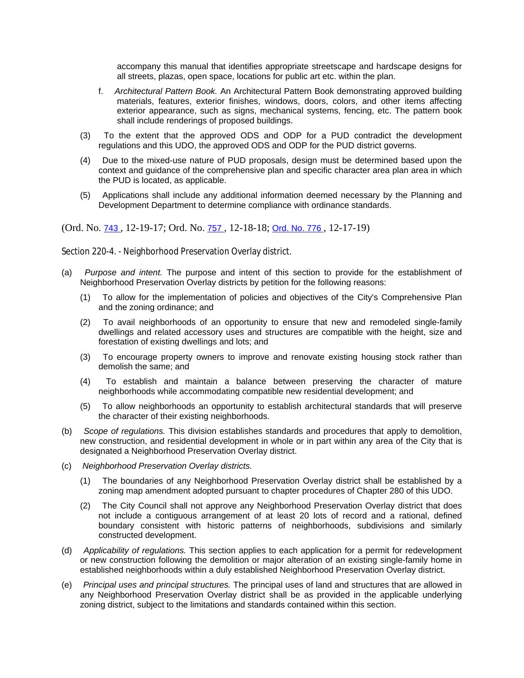accompany this manual that identifies appropriate streetscape and hardscape designs for all streets, plazas, open space, locations for public art etc. within the plan.

- f. *Architectural Pattern Book.* An Architectural Pattern Book demonstrating approved building materials, features, exterior finishes, windows, doors, colors, and other items affecting exterior appearance, such as signs, mechanical systems, fencing, etc. The pattern book shall include renderings of proposed buildings.
- (3) To the extent that the approved ODS and ODP for a PUD contradict the development regulations and this UDO, the approved ODS and ODP for the PUD district governs.
- (4) Due to the mixed-use nature of PUD proposals, design must be determined based upon the context and guidance of the comprehensive plan and specific character area plan area in which the PUD is located, as applicable.
- (5) Applications shall include any additional information deemed necessary by the Planning and Development Department to determine compliance with ordinance standards.

(Ord. No. [743](http://newords.municode.com/readordinance.aspx?ordinanceid=872522&datasource=ordbank) , 12-19-17; Ord. No. [757](http://newords.municode.com/readordinance.aspx?ordinanceid=954627&datasource=ordbank) , 12-18-18; [Ord. No. 776](http://newords.municode.com/readordinance.aspx?ordinanceid=994804&datasource=ordbank) , 12-17-19)

Section 220-4. - Neighborhood Preservation Overlay district.

- (a) *Purpose and intent.* The purpose and intent of this section to provide for the establishment of Neighborhood Preservation Overlay districts by petition for the following reasons:
	- (1) To allow for the implementation of policies and objectives of the City's Comprehensive Plan and the zoning ordinance; and
	- (2) To avail neighborhoods of an opportunity to ensure that new and remodeled single-family dwellings and related accessory uses and structures are compatible with the height, size and forestation of existing dwellings and lots; and
	- (3) To encourage property owners to improve and renovate existing housing stock rather than demolish the same; and
	- (4) To establish and maintain a balance between preserving the character of mature neighborhoods while accommodating compatible new residential development; and
	- (5) To allow neighborhoods an opportunity to establish architectural standards that will preserve the character of their existing neighborhoods.
- (b) *Scope of regulations.* This division establishes standards and procedures that apply to demolition, new construction, and residential development in whole or in part within any area of the City that is designated a Neighborhood Preservation Overlay district.
- (c) *Neighborhood Preservation Overlay districts.*
	- (1) The boundaries of any Neighborhood Preservation Overlay district shall be established by a zoning map amendment adopted pursuant to chapter procedures of Chapter 280 of this UDO.
	- (2) The City Council shall not approve any Neighborhood Preservation Overlay district that does not include a contiguous arrangement of at least 20 lots of record and a rational, defined boundary consistent with historic patterns of neighborhoods, subdivisions and similarly constructed development.
- (d) *Applicability of regulations.* This section applies to each application for a permit for redevelopment or new construction following the demolition or major alteration of an existing single-family home in established neighborhoods within a duly established Neighborhood Preservation Overlay district.
- (e) *Principal uses and principal structures.* The principal uses of land and structures that are allowed in any Neighborhood Preservation Overlay district shall be as provided in the applicable underlying zoning district, subject to the limitations and standards contained within this section.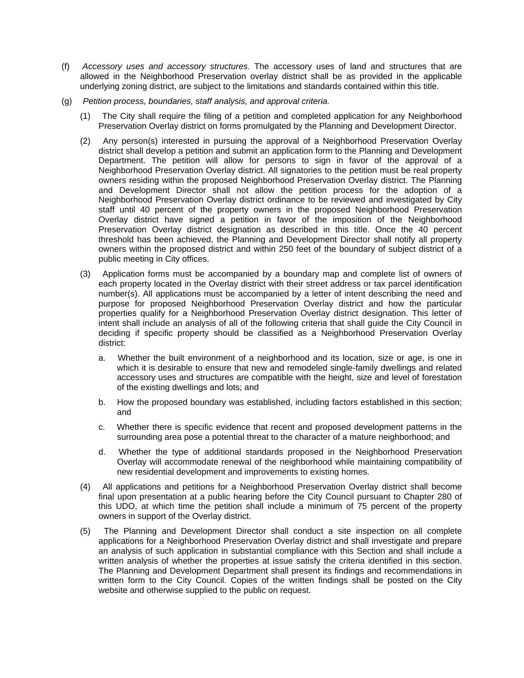- (f) *Accessory uses and accessory structures.* The accessory uses of land and structures that are allowed in the Neighborhood Preservation overlay district shall be as provided in the applicable underlying zoning district, are subject to the limitations and standards contained within this title.
- (g) *Petition process, boundaries, staff analysis, and approval criteria.*
	- (1) The City shall require the filing of a petition and completed application for any Neighborhood Preservation Overlay district on forms promulgated by the Planning and Development Director.
	- (2) Any person(s) interested in pursuing the approval of a Neighborhood Preservation Overlay district shall develop a petition and submit an application form to the Planning and Development Department. The petition will allow for persons to sign in favor of the approval of a Neighborhood Preservation Overlay district. All signatories to the petition must be real property owners residing within the proposed Neighborhood Preservation Overlay district. The Planning and Development Director shall not allow the petition process for the adoption of a Neighborhood Preservation Overlay district ordinance to be reviewed and investigated by City staff until 40 percent of the property owners in the proposed Neighborhood Preservation Overlay district have signed a petition in favor of the imposition of the Neighborhood Preservation Overlay district designation as described in this title. Once the 40 percent threshold has been achieved, the Planning and Development Director shall notify all property owners within the proposed district and within 250 feet of the boundary of subject district of a public meeting in City offices.
	- (3) Application forms must be accompanied by a boundary map and complete list of owners of each property located in the Overlay district with their street address or tax parcel identification number(s). All applications must be accompanied by a letter of intent describing the need and purpose for proposed Neighborhood Preservation Overlay district and how the particular properties qualify for a Neighborhood Preservation Overlay district designation. This letter of intent shall include an analysis of all of the following criteria that shall guide the City Council in deciding if specific property should be classified as a Neighborhood Preservation Overlay district:
		- a. Whether the built environment of a neighborhood and its location, size or age, is one in which it is desirable to ensure that new and remodeled single-family dwellings and related accessory uses and structures are compatible with the height, size and level of forestation of the existing dwellings and lots; and
		- b. How the proposed boundary was established, including factors established in this section; and
		- c. Whether there is specific evidence that recent and proposed development patterns in the surrounding area pose a potential threat to the character of a mature neighborhood; and
		- d. Whether the type of additional standards proposed in the Neighborhood Preservation Overlay will accommodate renewal of the neighborhood while maintaining compatibility of new residential development and improvements to existing homes.
	- (4) All applications and petitions for a Neighborhood Preservation Overlay district shall become final upon presentation at a public hearing before the City Council pursuant to Chapter 280 of this UDO, at which time the petition shall include a minimum of 75 percent of the property owners in support of the Overlay district.
	- (5) The Planning and Development Director shall conduct a site inspection on all complete applications for a Neighborhood Preservation Overlay district and shall investigate and prepare an analysis of such application in substantial compliance with this Section and shall include a written analysis of whether the properties at issue satisfy the criteria identified in this section. The Planning and Development Department shall present its findings and recommendations in written form to the City Council. Copies of the written findings shall be posted on the City website and otherwise supplied to the public on request.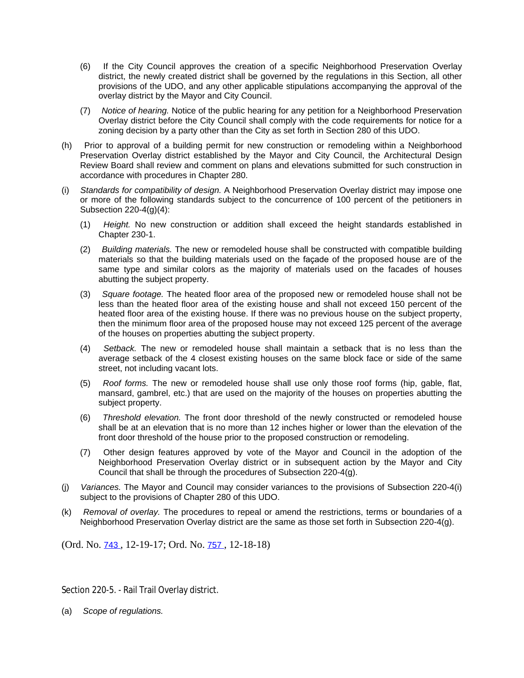- (6) If the City Council approves the creation of a specific Neighborhood Preservation Overlay district, the newly created district shall be governed by the regulations in this Section, all other provisions of the UDO, and any other applicable stipulations accompanying the approval of the overlay district by the Mayor and City Council.
- (7) *Notice of hearing.* Notice of the public hearing for any petition for a Neighborhood Preservation Overlay district before the City Council shall comply with the code requirements for notice for a zoning decision by a party other than the City as set forth in Section 280 of this UDO.
- (h) Prior to approval of a building permit for new construction or remodeling within a Neighborhood Preservation Overlay district established by the Mayor and City Council, the Architectural Design Review Board shall review and comment on plans and elevations submitted for such construction in accordance with procedures in Chapter 280.
- (i) *Standards for compatibility of design.* A Neighborhood Preservation Overlay district may impose one or more of the following standards subject to the concurrence of 100 percent of the petitioners in Subsection 220-4(g)(4):
	- (1) *Height.* No new construction or addition shall exceed the height standards established in Chapter 230-1.
	- (2) *Building materials.* The new or remodeled house shall be constructed with compatible building materials so that the building materials used on the façade of the proposed house are of the same type and similar colors as the majority of materials used on the facades of houses abutting the subject property.
	- (3) *Square footage.* The heated floor area of the proposed new or remodeled house shall not be less than the heated floor area of the existing house and shall not exceed 150 percent of the heated floor area of the existing house. If there was no previous house on the subject property, then the minimum floor area of the proposed house may not exceed 125 percent of the average of the houses on properties abutting the subject property.
	- (4) *Setback.* The new or remodeled house shall maintain a setback that is no less than the average setback of the 4 closest existing houses on the same block face or side of the same street, not including vacant lots.
	- (5) *Roof forms.* The new or remodeled house shall use only those roof forms (hip, gable, flat, mansard, gambrel, etc.) that are used on the majority of the houses on properties abutting the subject property.
	- (6) *Threshold elevation.* The front door threshold of the newly constructed or remodeled house shall be at an elevation that is no more than 12 inches higher or lower than the elevation of the front door threshold of the house prior to the proposed construction or remodeling.
	- (7) Other design features approved by vote of the Mayor and Council in the adoption of the Neighborhood Preservation Overlay district or in subsequent action by the Mayor and City Council that shall be through the procedures of Subsection 220-4(g).
- (j) *Variances.* The Mayor and Council may consider variances to the provisions of Subsection 220-4(i) subject to the provisions of Chapter 280 of this UDO.
- (k) *Removal of overlay.* The procedures to repeal or amend the restrictions, terms or boundaries of a Neighborhood Preservation Overlay district are the same as those set forth in Subsection 220-4(g).

(Ord. No. 743, 12-19-17; Ord. No. 757, 12-18-18)

Section 220-5. - Rail Trail Overlay district.

(a) *Scope of regulations.*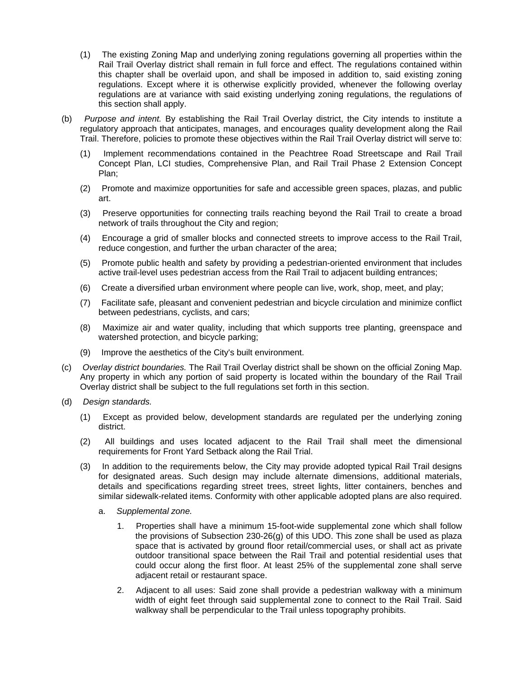- (1) The existing Zoning Map and underlying zoning regulations governing all properties within the Rail Trail Overlay district shall remain in full force and effect. The regulations contained within this chapter shall be overlaid upon, and shall be imposed in addition to, said existing zoning regulations. Except where it is otherwise explicitly provided, whenever the following overlay regulations are at variance with said existing underlying zoning regulations, the regulations of this section shall apply.
- (b) *Purpose and intent.* By establishing the Rail Trail Overlay district, the City intends to institute a regulatory approach that anticipates, manages, and encourages quality development along the Rail Trail. Therefore, policies to promote these objectives within the Rail Trail Overlay district will serve to:
	- (1) Implement recommendations contained in the Peachtree Road Streetscape and Rail Trail Concept Plan, LCI studies, Comprehensive Plan, and Rail Trail Phase 2 Extension Concept Plan;
	- (2) Promote and maximize opportunities for safe and accessible green spaces, plazas, and public art.
	- (3) Preserve opportunities for connecting trails reaching beyond the Rail Trail to create a broad network of trails throughout the City and region;
	- (4) Encourage a grid of smaller blocks and connected streets to improve access to the Rail Trail, reduce congestion, and further the urban character of the area;
	- (5) Promote public health and safety by providing a pedestrian-oriented environment that includes active trail-level uses pedestrian access from the Rail Trail to adjacent building entrances;
	- (6) Create a diversified urban environment where people can live, work, shop, meet, and play;
	- (7) Facilitate safe, pleasant and convenient pedestrian and bicycle circulation and minimize conflict between pedestrians, cyclists, and cars;
	- (8) Maximize air and water quality, including that which supports tree planting, greenspace and watershed protection, and bicycle parking;
	- (9) Improve the aesthetics of the City's built environment.
- (c) *Overlay district boundaries.* The Rail Trail Overlay district shall be shown on the official Zoning Map. Any property in which any portion of said property is located within the boundary of the Rail Trail Overlay district shall be subject to the full regulations set forth in this section.
- (d) *Design standards.*
	- (1) Except as provided below, development standards are regulated per the underlying zoning district.
	- (2) All buildings and uses located adjacent to the Rail Trail shall meet the dimensional requirements for Front Yard Setback along the Rail Trial.
	- (3) In addition to the requirements below, the City may provide adopted typical Rail Trail designs for designated areas. Such design may include alternate dimensions, additional materials, details and specifications regarding street trees, street lights, litter containers, benches and similar sidewalk-related items. Conformity with other applicable adopted plans are also required.
		- a. *Supplemental zone.*
			- 1. Properties shall have a minimum 15-foot-wide supplemental zone which shall follow the provisions of Subsection 230-26(g) of this UDO. This zone shall be used as plaza space that is activated by ground floor retail/commercial uses, or shall act as private outdoor transitional space between the Rail Trail and potential residential uses that could occur along the first floor. At least 25% of the supplemental zone shall serve adjacent retail or restaurant space.
			- 2. Adjacent to all uses: Said zone shall provide a pedestrian walkway with a minimum width of eight feet through said supplemental zone to connect to the Rail Trail. Said walkway shall be perpendicular to the Trail unless topography prohibits.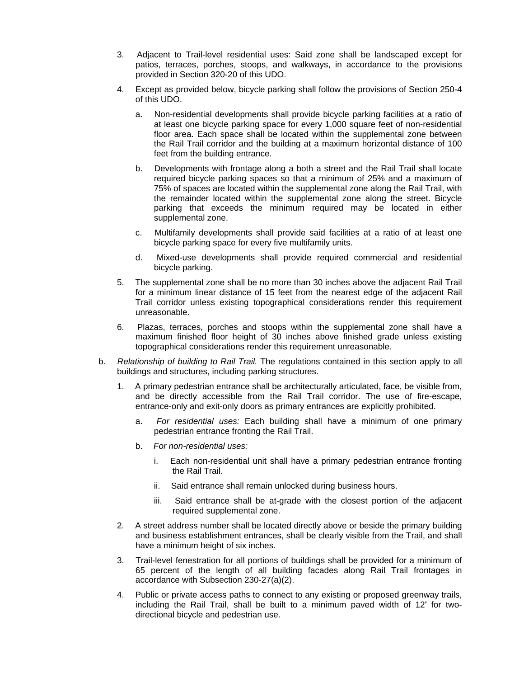- 3. Adjacent to Trail-level residential uses: Said zone shall be landscaped except for patios, terraces, porches, stoops, and walkways, in accordance to the provisions provided in Section 320-20 of this UDO.
- 4. Except as provided below, bicycle parking shall follow the provisions of Section 250-4 of this UDO.
	- a. Non-residential developments shall provide bicycle parking facilities at a ratio of at least one bicycle parking space for every 1,000 square feet of non-residential floor area. Each space shall be located within the supplemental zone between the Rail Trail corridor and the building at a maximum horizontal distance of 100 feet from the building entrance.
	- b. Developments with frontage along a both a street and the Rail Trail shall locate required bicycle parking spaces so that a minimum of 25% and a maximum of 75% of spaces are located within the supplemental zone along the Rail Trail, with the remainder located within the supplemental zone along the street. Bicycle parking that exceeds the minimum required may be located in either supplemental zone.
	- c. Multifamily developments shall provide said facilities at a ratio of at least one bicycle parking space for every five multifamily units.
	- d. Mixed-use developments shall provide required commercial and residential bicycle parking.
- 5. The supplemental zone shall be no more than 30 inches above the adjacent Rail Trail for a minimum linear distance of 15 feet from the nearest edge of the adjacent Rail Trail corridor unless existing topographical considerations render this requirement unreasonable.
- 6. Plazas, terraces, porches and stoops within the supplemental zone shall have a maximum finished floor height of 30 inches above finished grade unless existing topographical considerations render this requirement unreasonable.
- b. *Relationship of building to Rail Trail.* The regulations contained in this section apply to all buildings and structures, including parking structures.
	- 1. A primary pedestrian entrance shall be architecturally articulated, face, be visible from, and be directly accessible from the Rail Trail corridor. The use of fire-escape, entrance-only and exit-only doors as primary entrances are explicitly prohibited.
		- a. *For residential uses:* Each building shall have a minimum of one primary pedestrian entrance fronting the Rail Trail.
		- b. *For non-residential uses:*
			- i. Each non-residential unit shall have a primary pedestrian entrance fronting the Rail Trail.
			- ii. Said entrance shall remain unlocked during business hours.
			- iii. Said entrance shall be at-grade with the closest portion of the adjacent required supplemental zone.
	- 2. A street address number shall be located directly above or beside the primary building and business establishment entrances, shall be clearly visible from the Trail, and shall have a minimum height of six inches.
	- 3. Trail-level fenestration for all portions of buildings shall be provided for a minimum of 65 percent of the length of all building facades along Rail Trail frontages in accordance with Subsection 230-27(a)(2).
	- 4. Public or private access paths to connect to any existing or proposed greenway trails, including the Rail Trail, shall be built to a minimum paved width of 12′ for twodirectional bicycle and pedestrian use.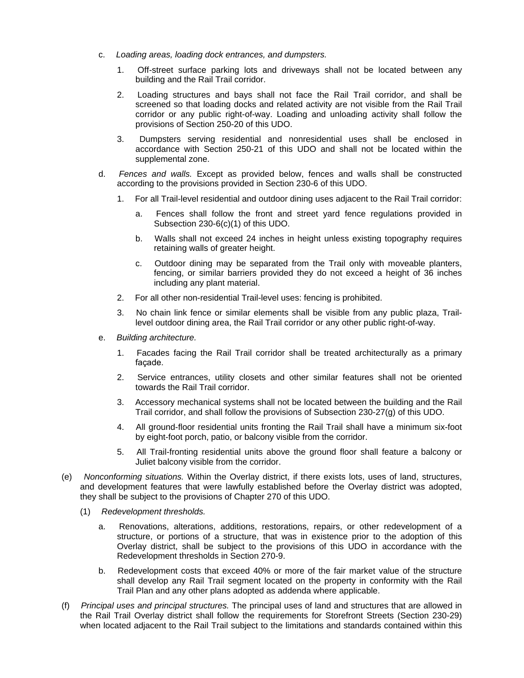- c. *Loading areas, loading dock entrances, and dumpsters.*
	- 1. Off-street surface parking lots and driveways shall not be located between any building and the Rail Trail corridor.
	- 2. Loading structures and bays shall not face the Rail Trail corridor, and shall be screened so that loading docks and related activity are not visible from the Rail Trail corridor or any public right-of-way. Loading and unloading activity shall follow the provisions of Section 250-20 of this UDO.
	- 3. Dumpsters serving residential and nonresidential uses shall be enclosed in accordance with Section 250-21 of this UDO and shall not be located within the supplemental zone.
- d. *Fences and walls.* Except as provided below, fences and walls shall be constructed according to the provisions provided in Section 230-6 of this UDO.
	- 1. For all Trail-level residential and outdoor dining uses adjacent to the Rail Trail corridor:
		- a. Fences shall follow the front and street yard fence regulations provided in Subsection 230-6(c)(1) of this UDO.
		- b. Walls shall not exceed 24 inches in height unless existing topography requires retaining walls of greater height.
		- c. Outdoor dining may be separated from the Trail only with moveable planters, fencing, or similar barriers provided they do not exceed a height of 36 inches including any plant material.
	- 2. For all other non-residential Trail-level uses: fencing is prohibited.
	- 3. No chain link fence or similar elements shall be visible from any public plaza, Traillevel outdoor dining area, the Rail Trail corridor or any other public right-of-way.
- e. *Building architecture.*
	- 1. Facades facing the Rail Trail corridor shall be treated architecturally as a primary façade.
	- 2. Service entrances, utility closets and other similar features shall not be oriented towards the Rail Trail corridor.
	- 3. Accessory mechanical systems shall not be located between the building and the Rail Trail corridor, and shall follow the provisions of Subsection 230-27(g) of this UDO.
	- 4. All ground-floor residential units fronting the Rail Trail shall have a minimum six-foot by eight-foot porch, patio, or balcony visible from the corridor.
	- 5. All Trail-fronting residential units above the ground floor shall feature a balcony or Juliet balcony visible from the corridor.
- (e) *Nonconforming situations.* Within the Overlay district, if there exists lots, uses of land, structures, and development features that were lawfully established before the Overlay district was adopted, they shall be subject to the provisions of Chapter 270 of this UDO.
	- (1) *Redevelopment thresholds.*
		- a. Renovations, alterations, additions, restorations, repairs, or other redevelopment of a structure, or portions of a structure, that was in existence prior to the adoption of this Overlay district, shall be subject to the provisions of this UDO in accordance with the Redevelopment thresholds in Section 270-9.
		- b. Redevelopment costs that exceed 40% or more of the fair market value of the structure shall develop any Rail Trail segment located on the property in conformity with the Rail Trail Plan and any other plans adopted as addenda where applicable.
- (f) *Principal uses and principal structures.* The principal uses of land and structures that are allowed in the Rail Trail Overlay district shall follow the requirements for Storefront Streets (Section 230-29) when located adjacent to the Rail Trail subject to the limitations and standards contained within this